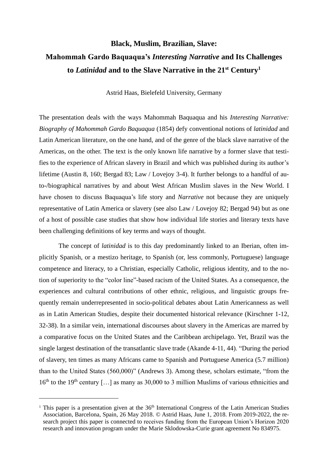## **Black, Muslim, Brazilian, Slave: Mahommah Gardo Baquaqua's** *Interesting Narrative* **and Its Challenges to** *Latinidad* **and to the Slave Narrative in the 21st Century<sup>1</sup>**

Astrid Haas, Bielefeld University, Germany

The presentation deals with the ways Mahommah Baquaqua and his *Interesting Narrative: Biography of Mahommah Gardo Baquaqua* (1854) defy conventional notions of *latinidad* and Latin American literature, on the one hand, and of the genre of the black slave narrative of the Americas, on the other. The text is the only known life narrative by a former slave that testifies to the experience of African slavery in Brazil and which was published during its author's lifetime (Austin 8, 160; Bergad 83; Law / Lovejoy 3-4). It further belongs to a handful of auto-/biographical narratives by and about West African Muslim slaves in the New World. I have chosen to discuss Baquaqua's life story and *Narrative* not because they are uniquely representative of Latin America or slavery (see also Law / Lovejoy 82; Bergad 94) but as one of a host of possible case studies that show how individual life stories and literary texts have been challenging definitions of key terms and ways of thought.

The concept of *latinidad* is to this day predominantly linked to an Iberian, often implicitly Spanish, or a mestizo heritage, to Spanish (or, less commonly, Portuguese) language competence and literacy, to a Christian, especially Catholic, religious identity, and to the notion of superiority to the "color line"-based racism of the United States. As a consequence, the experiences and cultural contributions of other ethnic, religious, and linguistic groups frequently remain underrepresented in socio-political debates about Latin Americanness as well as in Latin American Studies, despite their documented historical relevance (Kirschner 1-12, 32-38). In a similar vein, international discourses about slavery in the Americas are marred by a comparative focus on the United States and the Caribbean archipelago. Yet, Brazil was the single largest destination of the transatlantic slave trade (Akande 4-11, 44). "During the period of slavery, ten times as many Africans came to Spanish and Portuguese America (5.7 million) than to the United States (560,000)" (Andrews 3). Among these, scholars estimate, "from the  $16<sup>th</sup>$  to the 19<sup>th</sup> century [...] as many as 30,000 to 3 million Muslims of various ethnicities and

<sup>&</sup>lt;sup>1</sup> This paper is a presentation given at the  $36<sup>th</sup>$  International Congress of the Latin American Studies Association, Barcelona, Spain, 26 May 2018. © Astrid Haas, June 1, 2018. From 2019-2022, the research project this paper is connected to receives funding from the European Union's Horizon 2020 research and innovation program under the Marie Sklodowska-Curie grant agreement No 834975.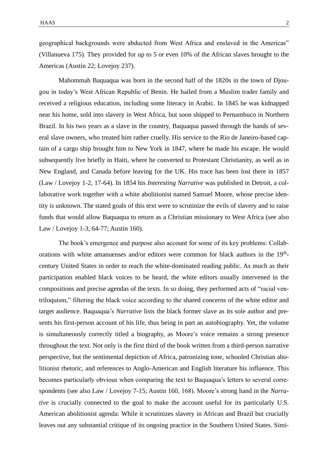geographical backgrounds were abducted from West Africa and enslaved in the Americas" (Villanueva 175). They provided for up to 5 or even 10% of the African slaves brought to the Americas (Austin 22; Lovejoy 237).

Mahommah Baquaqua was born in the second half of the 1820s in the town of Djougou in today's West African Republic of Benin. He hailed from a Muslim trader family and received a religious education, including some literacy in Arabic. In 1845 he was kidnapped near his home, sold into slavery in West Africa, but soon shipped to Pernambuco in Northern Brazil. In his two years as a slave in the country, Baquaqua passed through the hands of several slave owners, who treated him rather cruelly. His service to the Rio de Janeiro-based captain of a cargo ship brought him to New York in 1847, where he made his escape. He would subsequently live briefly in Haiti, where he converted to Protestant Christianity, as well as in New England, and Canada before leaving for the UK. His trace has been lost there in 1857 (Law / Lovejoy 1-2, 17-64). In 1854 his *Interesting Narrative* was published in Detroit, a collaborative work together with a white abolitionist named Samuel Moore, whose precise identity is unknown. The stated goals of this text were to scrutinize the evils of slavery and to raise funds that would allow Baquaqua to return as a Christian missionary to West Africa (see also Law / Lovejoy 1-3, 64-77; Austin 160).

The book's emergence and purpose also account for some of its key problems: Collaborations with white amanuenses and/or editors were common for black authors in the 19<sup>th</sup>century United States in order to reach the white-dominated reading public. As much as their participation enabled black voices to be heard, the white editors usually intervened in the compositions and precise agendas of the texts. In so doing, they performed acts of "racial ventriloquism," filtering the black voice according to the shared concerns of the white editor and target audience. Baquaqua's *Narrative* lists the black former slave as its sole author and presents his first-person account of his life, thus being in part an autobiography. Yet, the volume is simultaneously correctly titled a biography, as Moore's voice remains a strong presence throughout the text. Not only is the first third of the book written from a third-person narrative perspective, but the sentimental depiction of Africa, patronizing tone, schooled Christian abolitionist rhetoric, and references to Anglo-American and English literature his influence. This becomes particularly obvious when comparing the text to Baquaqua's letters to several correspondents (see also Law / Lovejoy 7-15; Austin 160, 168). Moore's strong hand in the *Narrative* is crucially connected to the goal to make the account useful for its particularly U.S. American abolitionist agenda: While it scrutinizes slavery in African and Brazil but crucially leaves out any substantial critique of its ongoing practice in the Southern United States. Simi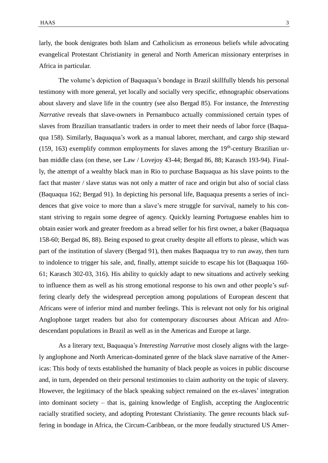larly, the book denigrates both Islam and Catholicism as erroneous beliefs while advocating evangelical Protestant Christianity in general and North American missionary enterprises in Africa in particular.

The volume's depiction of Baquaqua's bondage in Brazil skillfully blends his personal testimony with more general, yet locally and socially very specific, ethnographic observations about slavery and slave life in the country (see also Bergad 85). For instance, the *Interesting Narrative* reveals that slave-owners in Pernambuco actually commissioned certain types of slaves from Brazilian transatlantic traders in order to meet their needs of labor force (Baquaqua 158). Similarly, Baquaqua's work as a manual laborer, merchant, and cargo ship steward  $(159, 163)$  exemplify common employments for slaves among the 19<sup>th</sup>-century Brazilian urban middle class (on these, see Law / Lovejoy 43-44; Bergad 86, 88; Karasch 193-94). Finally, the attempt of a wealthy black man in Rio to purchase Baquaqua as his slave points to the fact that master / slave status was not only a matter of race and origin but also of social class (Baquaqua 162; Bergad 91). In depicting his personal life, Baquaqua presents a series of incidences that give voice to more than a slave's mere struggle for survival, namely to his constant striving to regain some degree of agency. Quickly learning Portuguese enables him to obtain easier work and greater freedom as a bread seller for his first owner, a baker (Baquaqua 158-60; Bergad 86, 88). Being exposed to great cruelty despite all efforts to please, which was part of the institution of slavery (Bergad 91), then makes Baquaqua try to run away, then turn to indolence to trigger his sale, and, finally, attempt suicide to escape his lot (Baquaqua 160- 61; Karasch 302-03, 316). His ability to quickly adapt to new situations and actively seeking to influence them as well as his strong emotional response to his own and other people's suffering clearly defy the widespread perception among populations of European descent that Africans were of inferior mind and number feelings. This is relevant not only for his original Anglophone target readers but also for contemporary discourses about African and Afrodescendant populations in Brazil as well as in the Americas and Europe at large.

As a literary text, Baquaqua's *Interesting Narrative* most closely aligns with the largely anglophone and North American-dominated genre of the black slave narrative of the Americas: This body of texts established the humanity of black people as voices in public discourse and, in turn, depended on their personal testimonies to claim authority on the topic of slavery. However, the legitimacy of the black speaking subject remained on the ex-slaves' integration into dominant society – that is, gaining knowledge of English, accepting the Anglocentric racially stratified society, and adopting Protestant Christianity. The genre recounts black suffering in bondage in Africa, the Circum-Caribbean, or the more feudally structured US Amer-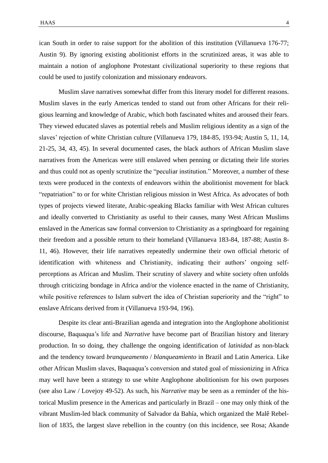ican South in order to raise support for the abolition of this institution (Villanueva 176-77; Austin 9). By ignoring existing abolitionist efforts in the scrutinized areas, it was able to maintain a notion of anglophone Protestant civilizational superiority to these regions that could be used to justify colonization and missionary endeavors.

Muslim slave narratives somewhat differ from this literary model for different reasons. Muslim slaves in the early Americas tended to stand out from other Africans for their religious learning and knowledge of Arabic, which both fascinated whites and aroused their fears. They viewed educated slaves as potential rebels and Muslim religious identity as a sign of the slaves' rejection of white Christian culture (Villanueva 179, 184-85, 193-94; Austin 5, 11, 14, 21-25, 34, 43, 45). In several documented cases, the black authors of African Muslim slave narratives from the Americas were still enslaved when penning or dictating their life stories and thus could not as openly scrutinize the "peculiar institution." Moreover, a number of these texts were produced in the contexts of endeavors within the abolitionist movement for black "repatriation" to or for white Christian religious mission in West Africa. As advocates of both types of projects viewed literate, Arabic-speaking Blacks familiar with West African cultures and ideally converted to Christianity as useful to their causes, many West African Muslims enslaved in the Americas saw formal conversion to Christianity as a springboard for regaining their freedom and a possible return to their homeland (Villanueva 183-84, 187-88; Austin 8- 11, 46). However, their life narratives repeatedly undermine their own official rhetoric of identification with whiteness and Christianity, indicating their authors' ongoing selfperceptions as African and Muslim. Their scrutiny of slavery and white society often unfolds through criticizing bondage in Africa and/or the violence enacted in the name of Christianity, while positive references to Islam subvert the idea of Christian superiority and the "right" to enslave Africans derived from it (Villanueva 193-94, 196).

Despite its clear anti-Brazilian agenda and integration into the Anglophone abolitionist discourse, Baquaqua's life and *Narrative* have become part of Brazilian history and literary production. In so doing, they challenge the ongoing identification of *latinidad* as non-black and the tendency toward *branqueamento* / *blanqueamiento* in Brazil and Latin America. Like other African Muslim slaves, Baquaqua's conversion and stated goal of missionizing in Africa may well have been a strategy to use white Anglophone abolitionism for his own purposes (see also Law / Lovejoy 49-52). As such, his *Narrative* may be seen as a reminder of the historical Muslim presence in the Americas and particularly in Brazil – one may only think of the vibrant Muslim-led black community of Salvador da Bahía, which organized the Malê Rebellion of 1835, the largest slave rebellion in the country (on this incidence, see Rosa; Akande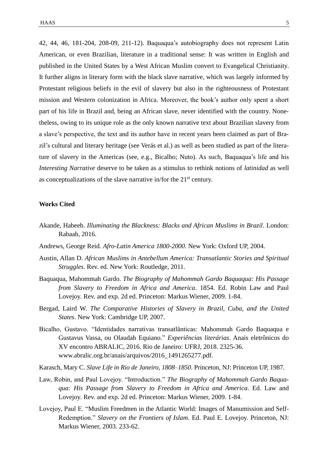42, 44, 46, 181-204, 208-09, 211-12). Baquaqua's autobiography does not represent Latin American, or even Brazilian, literature in a traditional sense: It was written in English and published in the United States by a West African Muslim convert to Evangelical Christianity. It further aligns in literary form with the black slave narrative, which was largely informed by Protestant religious beliefs in the evil of slavery but also in the righteousness of Protestant mission and Western colonization in Africa. Moreover, the book's author only spent a short part of his life in Brazil and, being an African slave, never identified with the country. Nonetheless, owing to its unique role as the only known narrative text about Brazilian slavery from a slave's perspective, the text and its author have in recent years been claimed as part of Brazil's cultural and literary heritage (see Verás et al.) as well as been studied as part of the literature of slavery in the Americas (see, e.g., Bicalho; Nuto). As such, Baquaqua's life and his *Interesting Narrative* deserve to be taken as a stimulus to rethink notions of *latinidad* as well as conceptualizations of the slave narrative in/for the  $21<sup>st</sup>$  century.

## **Works Cited**

- Akande, Habeeb. *Illuminating the Blackness: Blacks and African Muslims in Brazil*. London: Rabaah, 2016.
- Andrews, George Reid. *Afro-Latin America 1800-2000*. New York: Oxford UP, 2004.
- Austin, Allan D. *African Muslims in Antebellum America: Transatlantic Stories and Spiritual Struggles*. Rev. ed. New York: Routledge, 2011.
- Baquaqua, Mahommah Gardo. *The Biography of Mahommah Gardo Baquaqua: His Passage from Slavery to Freedom in Africa and America*. 1854. Ed. Robin Law and Paul Lovejoy. Rev. and exp. 2d ed. Princeton: Markus Wiener, 2009. 1-84.
- Bergad, Laird W. *The Comparative Histories of Slavery in Brazil, Cuba, and the United States*. New York: Cambridge UP, 2007.
- Bicalho, Gustavo. "Identidades narrativas transatlânticas: Mahommah Gardo Baquaqua e Gustavus Vassa, ou Olaudah Equiano." *Experiências literárias*. Anais eletrônicos do XV encontro ABRALIC, 2016. Rio de Janeiro: UFRJ, 2018. 2325-36. [www.abralic.org.br/anais/arquivos/2016\\_1](http://www.abralic.org.br/anais/arquivos/2016_)491265277.pdf.
- Karasch, Mary C. *Slave Life in Rio de Janeiro, 1808–1850*. Princeton, NJ: Princeton UP, 1987.
- Law, Robin, and Paul Lovejoy. "Introduction." *The Biography of Mahommah Gardo Baquaqua: His Passage from Slavery to Freedom in Africa and America*. Ed. Law and Lovejoy. Rev. and exp. 2d ed. Princeton: Markus Wiener, 2009. 1-84.
- Lovejoy, Paul E. "Muslim Freedmen in the Atlantic World: Images of Manumission and Self-Redemption." *Slavery on the Frontiers of Islam*. Ed. Paul E. Lovejoy. Princeton, NJ: Markus Wiener, 2003. 233-62.